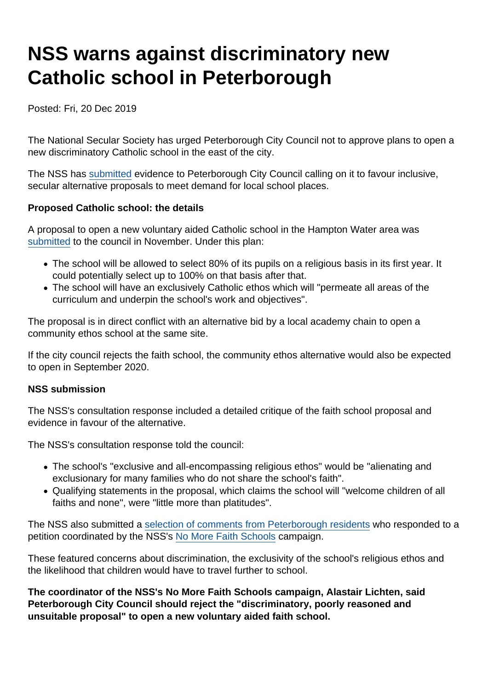# NSS warns against discriminatory new Catholic school in Peterborough

Posted: Fri, 20 Dec 2019

The National Secular Society has urged Peterborough City Council not to approve plans to open a new discriminatory Catholic school in the east of the city.

The NSS has [submitted](https://www.nomorefaithschools.org/uploads/hampton-water-consultation-response.pdf) evidence to Peterborough City Council calling on it to favour inclusive, secular alternative proposals to meet demand for local school places.

Proposed Catholic school: the details

A proposal to open a new voluntary aided Catholic school in the Hampton Water area was [submitted](https://www.nomorefaithschools.org/news/2019/11/council-consultation-over-new-discriminatory-faith-school-opens) to the council in November. Under this plan:

- The school will be allowed to select 80% of its pupils on a religious basis in its first year. It could potentially select up to 100% on that basis after that.
- The school will have an exclusively Catholic ethos which will "permeate all areas of the curriculum and underpin the school's work and objectives".

The proposal is in direct conflict with an alternative bid by a local academy chain to open a community ethos school at the same site.

If the city council rejects the faith school, the community ethos alternative would also be expected to open in September 2020.

#### NSS submission

The NSS's consultation response included a detailed critique of the faith school proposal and evidence in favour of the alternative.

The NSS's consultation response told the council:

- The school's "exclusive and all-encompassing religious ethos" would be "alienating and exclusionary for many families who do not share the school's faith".
- Qualifying statements in the proposal, which claims the school will "welcome children of all faiths and none", were "little more than platitudes".

The NSS also submitted a [selection of comments from Peterborough residents](https://www.nomorefaithschools.org/uploads/appendix-local-opposition.pdf) who responded to a petition coordinated by the NSS's [No More Faith Schools](https://www.nomorefaithschools.org/) campaign.

These featured concerns about discrimination, the exclusivity of the school's religious ethos and the likelihood that children would have to travel further to school.

The coordinator of the NSS's No More Faith Schools campaign, Alastair Lichten, said Peterborough City Council should reject the "discriminatory, poorly reasoned and unsuitable proposal" to open a new voluntary aided faith school.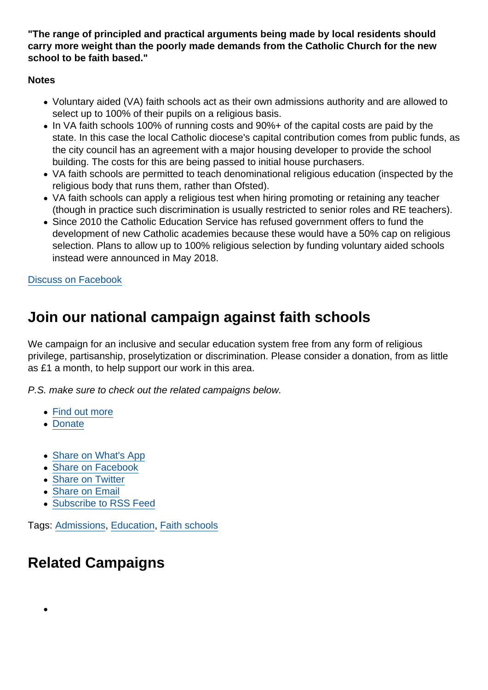"The range of principled and practical arguments being made by local residents should carry more weight than the poorly made demands from the Catholic Church for the new school to be faith based."

**Notes** 

- Voluntary aided (VA) faith schools act as their own admissions authority and are allowed to select up to 100% of their pupils on a religious basis.
- In VA faith schools 100% of running costs and 90%+ of the capital costs are paid by the state. In this case the local Catholic diocese's capital contribution comes from public funds, as the city council has an agreement with a major housing developer to provide the school building. The costs for this are being passed to initial house purchasers.
- VA faith schools are permitted to teach denominational religious education (inspected by the religious body that runs them, rather than Ofsted).
- VA faith schools can apply a religious test when hiring promoting or retaining any teacher (though in practice such discrimination is usually restricted to senior roles and RE teachers).
- Since 2010 the Catholic Education Service has refused government offers to fund the development of new Catholic academies because these would have a 50% cap on religious selection. Plans to allow up to 100% religious selection by funding voluntary aided schools instead were announced in May 2018.

[Discuss on Facebook](https://www.facebook.com/NationalSecularSociety/posts/2660093904058944?__xts__[0]=68.ARDGTvctvVVbsdIQFbm9KnS6WXp8QAPuJnLtV3lioswGeHfmqk8D6lkz-7ewJvOwi9oGpebKX3N0vdW3N9APneyrzSs3yvgmP3RGRsM6eIPzxxwkN4rHWLUCqvCxG1oYmEsyQAD3IJEmAVZocqSIkcq9eIGyd13qyxkdObFUmjYn-CrgemCmIHYLfEk3E-5Thbgfd6lPaWSLd9p8nCnC90kdpJupo_m02akomUkPWYk0mDxQlPd3xDbnVPbyv1wjb-FABbqi2UpedVqumyc54QuJTsI98zWOSIk8ogXzIhvsN5pdfL-PZD3yskU6SO55ubUP3d_KCww6En-pnCqfcKp9OQ&__tn__=-R)

### Join our national campaign against faith schools

We campaign for an inclusive and secular education system free from any form of religious privilege, partisanship, proselytization or discrimination. Please consider a donation, from as little as £1 a month, to help support our work in this area.

P.S. make sure to check out the related campaigns below.

- [Find out more](https://www.secularism.org.uk/faith-schools/)
- [Donate](https://www.secularism.org.uk/donate.html)
- [Share on What's App](whatsapp://send?text=http://www.secularism.org.uk/news/2019/12/nss-warns-against-discriminatory-new-catholic-school-in-peterborough?format=pdf)
- [Share on Facebook](https://www.facebook.com/sharer/sharer.php?u=http://www.secularism.org.uk/news/2019/12/nss-warns-against-discriminatory-new-catholic-school-in-peterborough?format=pdf&t=NSS+warns+against+discriminatory+new+Catholic+school+in+Peterborough)
- [Share on Twitter](https://twitter.com/intent/tweet?url=http://www.secularism.org.uk/news/2019/12/nss-warns-against-discriminatory-new-catholic-school-in-peterborough?format=pdf&text=NSS+warns+against+discriminatory+new+Catholic+school+in+Peterborough&via=NatSecSoc)
- [Share on Email](https://www.secularism.org.uk/share.html?url=http://www.secularism.org.uk/news/2019/12/nss-warns-against-discriminatory-new-catholic-school-in-peterborough?format=pdf&title=NSS+warns+against+discriminatory+new+Catholic+school+in+Peterborough)
- [Subscribe to RSS Feed](/mnt/web-data/www/cp-nss/feeds/rss/news)

Tags: [Admissions,](https://www.secularism.org.uk/news/tags/Admissions) [Education,](https://www.secularism.org.uk/news/tags/Education) [Faith schools](https://www.secularism.org.uk/news/tags/Faith+schools)

## Related Campaigns